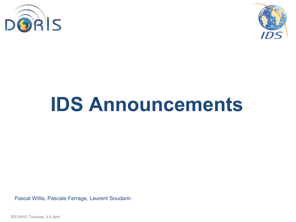



# **IDS Announcements**

Pascal Willis, Pascale Ferrage, Laurent Soudarin

IDS AWG, Toulouse, 4-5 April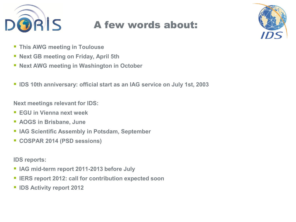

## A few words about:



- **This AWG meeting in Toulouse**
- **Next GB meeting on Friday, April 5th**
- **Next AWG meeting in Washington in October**
- **IDS 10th anniversary: official start as an IAG service on July 1st, 2003**

**Next meetings relevant for IDS:**

- **EGU in Vienna next week**
- **AOGS in Brisbane, June**
- **IAG Scientific Assembly in Potsdam, September**
- **COSPAR 2014 (PSD sessions)**

**IDS reports:**

- **IAG mid-term report 2011-2013 before July**
- **IERS report 2012: call for contribution expected soon**
- **IDS Activity report 2012**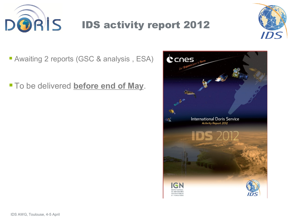



**Awaiting 2 reports (GSC & analysis, ESA)** 

**To be delivered before end of May.**